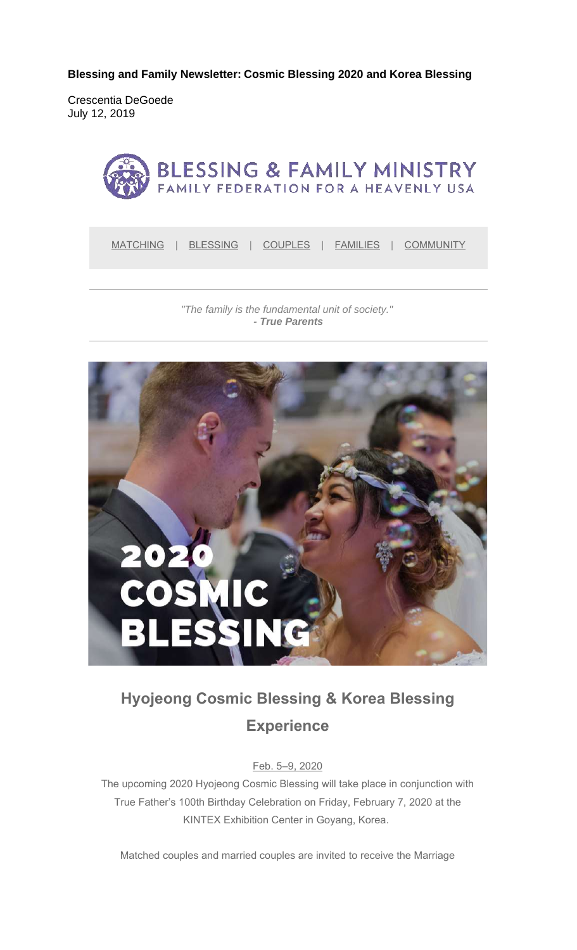**Blessing and Family Newsletter: Cosmic Blessing 2020 and Korea Blessing**

Crescentia DeGoede July 12, 2019



MATCHING | BLESSING | COUPLES | FAMILIES | COMMUNITY

*"The family is the fundamental unit of society." - True Parents*



# **Hyojeong Cosmic Blessing & Korea Blessing Experience**

Feb. 5–9, 2020

The upcoming 2020 Hyojeong Cosmic Blessing will take place in conjunction with True Father's 100th Birthday Celebration on Friday, February 7, 2020 at the KINTEX Exhibition Center in Goyang, Korea.

Matched couples and married couples are invited to receive the Marriage